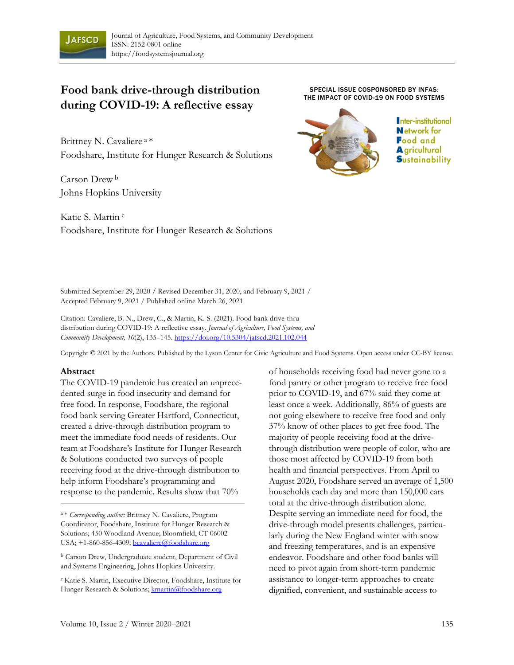

# **Food bank drive-through distribution during COVID-19: A reflective essay**

Brittney N. Cavaliere <sup>a</sup>\* Foodshare, Institute for Hunger Research & Solutions

Carson Drew <sup>b</sup> Johns Hopkins University

Katie S. Martin <sup>c</sup> Foodshare, Institute for Hunger Research & Solutions

SPECIAL ISSUE COSPONSORED BY INFAS: THE IMPACT OF COVID-19 ON FOOD SYSTEMS



Inter-institutional **Network** for **Food and A** gricultural **S**ustainability

Submitted September 29, 2020 / Revised December 31, 2020, and February 9, 2021 / Accepted February 9, 2021 / Published online March 26, 2021

Citation: Cavaliere, B. N., Drew, C., & Martin, K. S. (2021). Food bank drive-thru distribution during COVID-19: A reflective essay. *Journal of Agriculture, Food Systems, and Community Development, 10*(2), 135–145. https://doi.org/10.5304/jafscd.2021.102.044

Copyright © 2021 by the Authors. Published by the Lyson Center for Civic Agriculture and Food Systems. Open access under CC-BY license.

#### **Abstract**

The COVID-19 pandemic has created an unprecedented surge in food insecurity and demand for free food. In response, Foodshare, the regional food bank serving Greater Hartford, Connecticut, created a drive-through distribution program to meet the immediate food needs of residents. Our team at Foodshare's Institute for Hunger Research & Solutions conducted two surveys of people receiving food at the drive-through distribution to help inform Foodshare's programming and response to the pandemic. Results show that 70%

<sup>a</sup>\* *Corresponding author:* Brittney N. Cavaliere, Program Coordinator, Foodshare, Institute for Hunger Research & Solutions; 450 Woodland Avenue; Bloomfield, CT 06002 USA; +1-860-856-4309; bcavaliere@foodshare.org

<sup>b</sup> Carson Drew, Undergraduate student, Department of Civil and Systems Engineering, Johns Hopkins University.

<sup>c</sup>Katie S. Martin, Executive Director, Foodshare, Institute for Hunger Research & Solutions; kmartin@foodshare.org

of households receiving food had never gone to a food pantry or other program to receive free food prior to COVID-19, and 67% said they come at least once a week. Additionally, 86% of guests are not going elsewhere to receive free food and only 37% know of other places to get free food. The majority of people receiving food at the drivethrough distribution were people of color, who are those most affected by COVID-19 from both health and financial perspectives. From April to August 2020, Foodshare served an average of 1,500 households each day and more than 150,000 cars total at the drive-through distribution alone. Despite serving an immediate need for food, the drive-through model presents challenges, particularly during the New England winter with snow and freezing temperatures, and is an expensive endeavor. Foodshare and other food banks will need to pivot again from short-term pandemic assistance to longer-term approaches to create dignified, convenient, and sustainable access to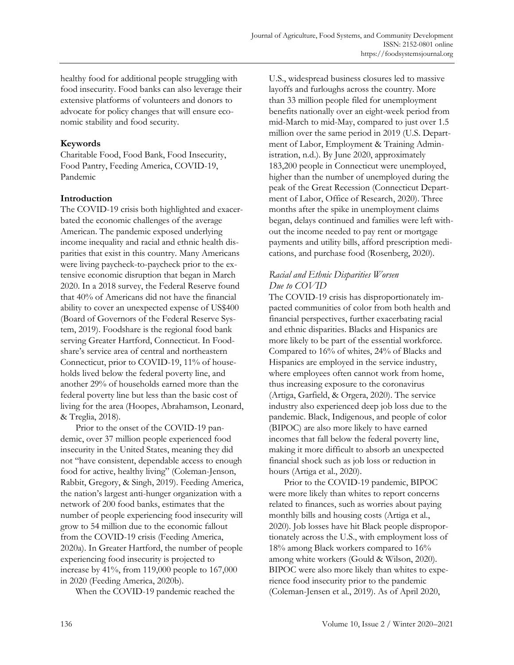healthy food for additional people struggling with food insecurity. Food banks can also leverage their extensive platforms of volunteers and donors to advocate for policy changes that will ensure economic stability and food security.

# **Keywords**

Charitable Food, Food Bank, Food Insecurity, Food Pantry, Feeding America, COVID-19, Pandemic

# **Introduction**

The COVID-19 crisis both highlighted and exacerbated the economic challenges of the average American. The pandemic exposed underlying income inequality and racial and ethnic health disparities that exist in this country. Many Americans were living paycheck-to-paycheck prior to the extensive economic disruption that began in March 2020. In a 2018 survey, the Federal Reserve found that 40% of Americans did not have the financial ability to cover an unexpected expense of US\$400 (Board of Governors of the Federal Reserve System, 2019). Foodshare is the regional food bank serving Greater Hartford, Connecticut. In Foodshare's service area of central and northeastern Connecticut, prior to COVID-19, 11% of households lived below the federal poverty line, and another 29% of households earned more than the federal poverty line but less than the basic cost of living for the area (Hoopes, Abrahamson, Leonard, & Treglia, 2018).

Prior to the onset of the COVID-19 pandemic, over 37 million people experienced food insecurity in the United States, meaning they did not "have consistent, dependable access to enough food for active, healthy living" (Coleman-Jenson, Rabbit, Gregory, & Singh, 2019). Feeding America, the nation's largest anti-hunger organization with a network of 200 food banks, estimates that the number of people experiencing food insecurity will grow to 54 million due to the economic fallout from the COVID-19 crisis (Feeding America, 2020a). In Greater Hartford, the number of people experiencing food insecurity is projected to increase by 41%, from 119,000 people to 167,000 in 2020 (Feeding America, 2020b).

When the COVID-19 pandemic reached the

U.S., widespread business closures led to massive layoffs and furloughs across the country. More than 33 million people filed for unemployment benefits nationally over an eight-week period from mid-March to mid-May, compared to just over 1.5 million over the same period in 2019 (U.S. Department of Labor, Employment & Training Administration, n.d.). By June 2020, approximately 183,200 people in Connecticut were unemployed, higher than the number of unemployed during the peak of the Great Recession (Connecticut Department of Labor, Office of Research, 2020). Three months after the spike in unemployment claims began, delays continued and families were left without the income needed to pay rent or mortgage payments and utility bills, afford prescription medications, and purchase food (Rosenberg, 2020).

# *Racial and Ethnic Disparities Worsen Due to COVID*

The COVID-19 crisis has disproportionately impacted communities of color from both health and financial perspectives, further exacerbating racial and ethnic disparities. Blacks and Hispanics are more likely to be part of the essential workforce. Compared to 16% of whites, 24% of Blacks and Hispanics are employed in the service industry, where employees often cannot work from home, thus increasing exposure to the coronavirus (Artiga, Garfield, & Orgera, 2020). The service industry also experienced deep job loss due to the pandemic. Black, Indigenous, and people of color (BIPOC) are also more likely to have earned incomes that fall below the federal poverty line, making it more difficult to absorb an unexpected financial shock such as job loss or reduction in hours (Artiga et al., 2020).

Prior to the COVID-19 pandemic, BIPOC were more likely than whites to report concerns related to finances, such as worries about paying monthly bills and housing costs (Artiga et al., 2020). Job losses have hit Black people disproportionately across the U.S., with employment loss of 18% among Black workers compared to 16% among white workers (Gould & Wilson, 2020). BIPOC were also more likely than whites to experience food insecurity prior to the pandemic (Coleman-Jensen et al., 2019). As of April 2020,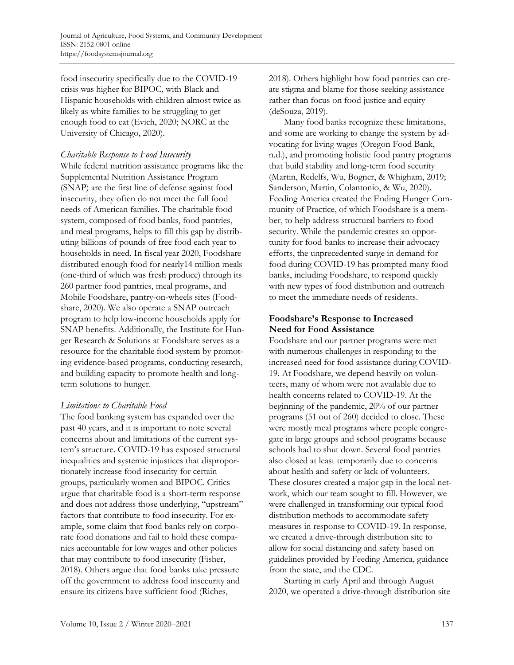food insecurity specifically due to the COVID-19 crisis was higher for BIPOC, with Black and Hispanic households with children almost twice as likely as white families to be struggling to get enough food to eat (Evich, 2020; NORC at the University of Chicago, 2020).

#### *Charitable Response to Food Insecurity*

While federal nutrition assistance programs like the Supplemental Nutrition Assistance Program (SNAP) are the first line of defense against food insecurity, they often do not meet the full food needs of American families. The charitable food system, composed of food banks, food pantries, and meal programs, helps to fill this gap by distributing billions of pounds of free food each year to households in need. In fiscal year 2020, Foodshare distributed enough food for nearly14 million meals (one-third of which was fresh produce) through its 260 partner food pantries, meal programs, and Mobile Foodshare, pantry-on-wheels sites (Foodshare, 2020). We also operate a SNAP outreach program to help low-income households apply for SNAP benefits. Additionally, the Institute for Hunger Research & Solutions at Foodshare serves as a resource for the charitable food system by promoting evidence-based programs, conducting research, and building capacity to promote health and longterm solutions to hunger.

#### *Limitations to Charitable Food*

The food banking system has expanded over the past 40 years, and it is important to note several concerns about and limitations of the current system's structure. COVID-19 has exposed structural inequalities and systemic injustices that disproportionately increase food insecurity for certain groups, particularly women and BIPOC. Critics argue that charitable food is a short-term response and does not address those underlying, "upstream" factors that contribute to food insecurity. For example, some claim that food banks rely on corporate food donations and fail to hold these companies accountable for low wages and other policies that may contribute to food insecurity (Fisher, 2018). Others argue that food banks take pressure off the government to address food insecurity and ensure its citizens have sufficient food (Riches,

2018). Others highlight how food pantries can create stigma and blame for those seeking assistance rather than focus on food justice and equity (deSouza, 2019).

Many food banks recognize these limitations, and some are working to change the system by advocating for living wages (Oregon Food Bank, n.d.), and promoting holistic food pantry programs that build stability and long-term food security (Martin, Redelfs, Wu, Bogner, & Whigham, 2019; Sanderson, Martin, Colantonio, & Wu, 2020). Feeding America created the Ending Hunger Community of Practice, of which Foodshare is a member, to help address structural barriers to food security. While the pandemic creates an opportunity for food banks to increase their advocacy efforts, the unprecedented surge in demand for food during COVID-19 has prompted many food banks, including Foodshare, to respond quickly with new types of food distribution and outreach to meet the immediate needs of residents.

# **Foodshare's Response to Increased Need for Food Assistance**

Foodshare and our partner programs were met with numerous challenges in responding to the increased need for food assistance during COVID-19. At Foodshare, we depend heavily on volunteers, many of whom were not available due to health concerns related to COVID-19. At the beginning of the pandemic, 20% of our partner programs (51 out of 260) decided to close. These were mostly meal programs where people congregate in large groups and school programs because schools had to shut down. Several food pantries also closed at least temporarily due to concerns about health and safety or lack of volunteers. These closures created a major gap in the local network, which our team sought to fill. However, we were challenged in transforming our typical food distribution methods to accommodate safety measures in response to COVID-19. In response, we created a drive-through distribution site to allow for social distancing and safety based on guidelines provided by Feeding America, guidance from the state, and the CDC.

Starting in early April and through August 2020, we operated a drive-through distribution site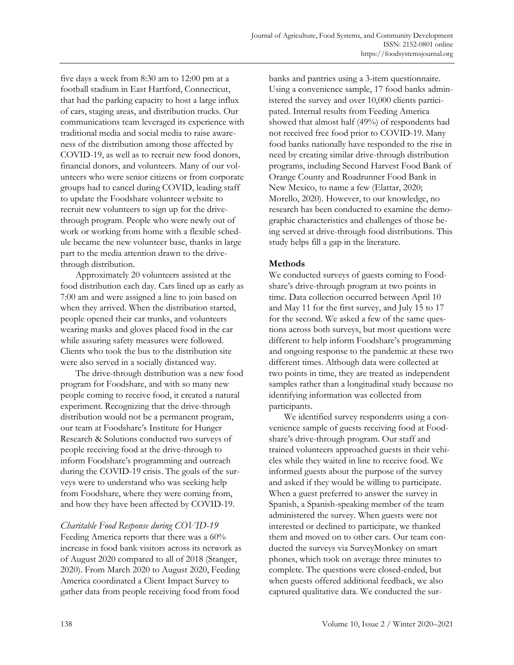five days a week from 8:30 am to 12:00 pm at a football stadium in East Hartford, Connecticut, that had the parking capacity to host a large influx of cars, staging areas, and distribution trucks. Our communications team leveraged its experience with traditional media and social media to raise awareness of the distribution among those affected by COVID-19, as well as to recruit new food donors, financial donors, and volunteers. Many of our volunteers who were senior citizens or from corporate groups had to cancel during COVID, leading staff to update the Foodshare volunteer website to recruit new volunteers to sign up for the drivethrough program. People who were newly out of work or working from home with a flexible schedule became the new volunteer base, thanks in large part to the media attention drawn to the drivethrough distribution.

Approximately 20 volunteers assisted at the food distribution each day. Cars lined up as early as 7:00 am and were assigned a line to join based on when they arrived. When the distribution started, people opened their car trunks, and volunteers wearing masks and gloves placed food in the car while assuring safety measures were followed. Clients who took the bus to the distribution site were also served in a socially distanced way.

The drive-through distribution was a new food program for Foodshare, and with so many new people coming to receive food, it created a natural experiment. Recognizing that the drive-through distribution would not be a permanent program, our team at Foodshare's Institute for Hunger Research & Solutions conducted two surveys of people receiving food at the drive-through to inform Foodshare's programming and outreach during the COVID-19 crisis. The goals of the surveys were to understand who was seeking help from Foodshare, where they were coming from, and how they have been affected by COVID-19.

#### *Charitable Food Response during COVID-19*

Feeding America reports that there was a 60% increase in food bank visitors across its network as of August 2020 compared to all of 2018 (Stanger, 2020). From March 2020 to August 2020, Feeding America coordinated a Client Impact Survey to gather data from people receiving food from food

banks and pantries using a 3-item questionnaire. Using a convenience sample, 17 food banks administered the survey and over 10,000 clients participated. Internal results from Feeding America showed that almost half (49%) of respondents had not received free food prior to COVID-19. Many food banks nationally have responded to the rise in need by creating similar drive-through distribution programs, including Second Harvest Food Bank of Orange County and Roadrunner Food Bank in New Mexico, to name a few (Elattar, 2020; Morello, 2020). However, to our knowledge, no research has been conducted to examine the demographic characteristics and challenges of those being served at drive-through food distributions. This study helps fill a gap in the literature.

#### **Methods**

We conducted surveys of guests coming to Foodshare's drive-through program at two points in time. Data collection occurred between April 10 and May 11 for the first survey, and July 15 to 17 for the second. We asked a few of the same questions across both surveys, but most questions were different to help inform Foodshare's programming and ongoing response to the pandemic at these two different times. Although data were collected at two points in time, they are treated as independent samples rather than a longitudinal study because no identifying information was collected from participants.

We identified survey respondents using a convenience sample of guests receiving food at Foodshare's drive-through program. Our staff and trained volunteers approached guests in their vehicles while they waited in line to receive food. We informed guests about the purpose of the survey and asked if they would be willing to participate. When a guest preferred to answer the survey in Spanish, a Spanish-speaking member of the team administered the survey. When guests were not interested or declined to participate, we thanked them and moved on to other cars. Our team conducted the surveys via SurveyMonkey on smart phones, which took on average three minutes to complete. The questions were closed-ended, but when guests offered additional feedback, we also captured qualitative data. We conducted the sur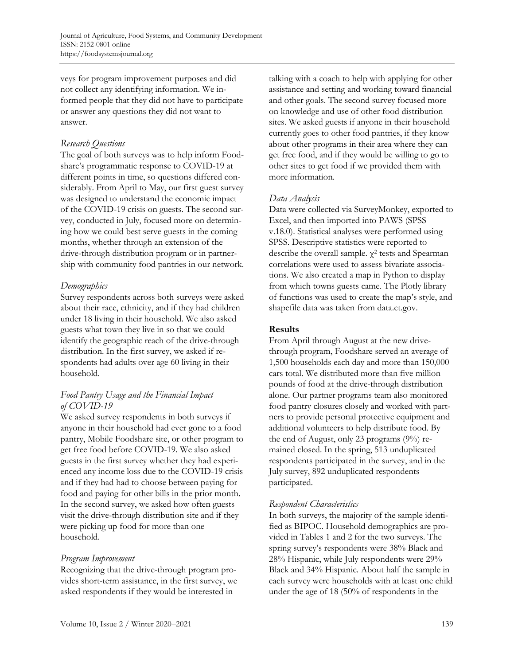veys for program improvement purposes and did not collect any identifying information. We informed people that they did not have to participate or answer any questions they did not want to answer.

#### *Research Questions*

The goal of both surveys was to help inform Foodshare's programmatic response to COVID-19 at different points in time, so questions differed considerably. From April to May, our first guest survey was designed to understand the economic impact of the COVID-19 crisis on guests. The second survey, conducted in July, focused more on determining how we could best serve guests in the coming months, whether through an extension of the drive-through distribution program or in partnership with community food pantries in our network.

# *Demographics*

Survey respondents across both surveys were asked about their race, ethnicity, and if they had children under 18 living in their household. We also asked guests what town they live in so that we could identify the geographic reach of the drive-through distribution. In the first survey, we asked if respondents had adults over age 60 living in their household.

# *Food Pantry Usage and the Financial Impact of COVID-19*

We asked survey respondents in both surveys if anyone in their household had ever gone to a food pantry, Mobile Foodshare site, or other program to get free food before COVID-19. We also asked guests in the first survey whether they had experienced any income loss due to the COVID-19 crisis and if they had had to choose between paying for food and paying for other bills in the prior month. In the second survey, we asked how often guests visit the drive-through distribution site and if they were picking up food for more than one household.

# *Program Improvement*

Recognizing that the drive-through program provides short-term assistance, in the first survey, we asked respondents if they would be interested in

talking with a coach to help with applying for other assistance and setting and working toward financial and other goals. The second survey focused more on knowledge and use of other food distribution sites. We asked guests if anyone in their household currently goes to other food pantries, if they know about other programs in their area where they can get free food, and if they would be willing to go to other sites to get food if we provided them with more information.

# *Data Analysis*

Data were collected via SurveyMonkey, exported to Excel, and then imported into PAWS (SPSS v.18.0). Statistical analyses were performed using SPSS. Descriptive statistics were reported to describe the overall sample.  $\chi^2$  tests and Spearman correlations were used to assess bivariate associations. We also created a map in Python to display from which towns guests came. The Plotly library of functions was used to create the map's style, and shapefile data was taken from data.ct.gov.

# **Results**

From April through August at the new drivethrough program, Foodshare served an average of 1,500 households each day and more than 150,000 cars total. We distributed more than five million pounds of food at the drive-through distribution alone. Our partner programs team also monitored food pantry closures closely and worked with partners to provide personal protective equipment and additional volunteers to help distribute food. By the end of August, only 23 programs (9%) remained closed. In the spring, 513 unduplicated respondents participated in the survey, and in the July survey, 892 unduplicated respondents participated.

# *Respondent Characteristics*

In both surveys, the majority of the sample identified as BIPOC. Household demographics are provided in Tables 1 and 2 for the two surveys. The spring survey's respondents were 38% Black and 28% Hispanic, while July respondents were 29% Black and 34% Hispanic. About half the sample in each survey were households with at least one child under the age of 18 (50% of respondents in the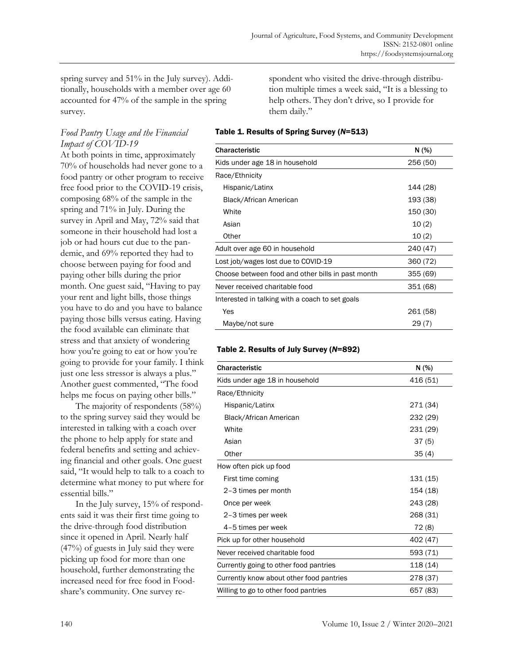spring survey and 51% in the July survey). Additionally, households with a member over age 60 accounted for 47% of the sample in the spring survey.

#### *Food Pantry Usage and the Financial Impact of COVID-19*

At both points in time, approximately 70% of households had never gone to a food pantry or other program to receive free food prior to the COVID-19 crisis, composing 68% of the sample in the spring and 71% in July. During the survey in April and May, 72% said that someone in their household had lost a job or had hours cut due to the pandemic, and 69% reported they had to choose between paying for food and paying other bills during the prior month. One guest said, "Having to pay your rent and light bills, those things you have to do and you have to balance paying those bills versus eating. Having the food available can eliminate that stress and that anxiety of wondering how you're going to eat or how you're going to provide for your family. I think just one less stressor is always a plus." Another guest commented, "The food helps me focus on paying other bills."

The majority of respondents (58%) to the spring survey said they would be interested in talking with a coach over the phone to help apply for state and federal benefits and setting and achieving financial and other goals. One guest said, "It would help to talk to a coach to determine what money to put where for essential bills."

In the July survey, 15% of respondents said it was their first time going to the drive-through food distribution since it opened in April. Nearly half (47%) of guests in July said they were picking up food for more than one household, further demonstrating the increased need for free food in Foodshare's community. One survey respondent who visited the drive-through distribution multiple times a week said, "It is a blessing to help others. They don't drive, so I provide for them daily."

#### Table 1. Results of Spring Survey (*N*=513)

| Characteristic                                    | N(% )    |
|---------------------------------------------------|----------|
| Kids under age 18 in household                    | 256 (50) |
| Race/Ethnicity                                    |          |
| Hispanic/Latinx                                   | 144 (28) |
| Black/African American                            | 193 (38) |
| White                                             | 150 (30) |
| Asian                                             | 10(2)    |
| Other                                             | 10(2)    |
| Adult over age 60 in household                    | 240 (47) |
| Lost job/wages lost due to COVID-19               | 360 (72) |
| Choose between food and other bills in past month | 355(69)  |
| Never received charitable food                    | 351 (68) |
| Interested in talking with a coach to set goals   |          |
| Yes                                               | 261 (58) |
| Maybe/not sure                                    | 29(7)    |

#### Table 2. Results of July Survey (*N*=892)

| <b>Characteristic</b>                    | N(% )    |
|------------------------------------------|----------|
| Kids under age 18 in household           | 416 (51) |
| Race/Ethnicity                           |          |
| Hispanic/Latinx                          | 271 (34) |
| Black/African American                   | 232 (29) |
| White                                    | 231 (29) |
| Asian                                    | 37(5)    |
| Other                                    | 35(4)    |
| How often pick up food                   |          |
| First time coming                        | 131 (15) |
| 2-3 times per month                      | 154 (18) |
| Once per week                            | 243 (28) |
| 2-3 times per week                       | 268 (31) |
| 4-5 times per week                       | 72 (8)   |
| Pick up for other household              | 402 (47) |
| Never received charitable food           | 593 (71) |
| Currently going to other food pantries   | 118 (14) |
| Currently know about other food pantries | 278 (37) |
| Willing to go to other food pantries     | 657 (83) |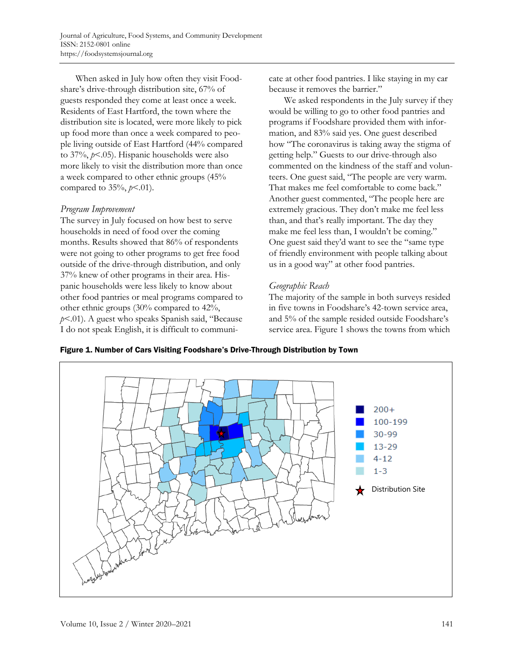When asked in July how often they visit Foodshare's drive-through distribution site, 67% of guests responded they come at least once a week. Residents of East Hartford, the town where the distribution site is located, were more likely to pick up food more than once a week compared to people living outside of East Hartford (44% compared to 37%, *p*<.05). Hispanic households were also more likely to visit the distribution more than once a week compared to other ethnic groups (45% compared to 35%, *p*<.01).

#### *Program Improvement*

The survey in July focused on how best to serve households in need of food over the coming months. Results showed that 86% of respondents were not going to other programs to get free food outside of the drive-through distribution, and only 37% knew of other programs in their area. Hispanic households were less likely to know about other food pantries or meal programs compared to other ethnic groups (30% compared to 42%, *p*<.01). A guest who speaks Spanish said, "Because I do not speak English, it is difficult to communicate at other food pantries. I like staying in my car because it removes the barrier."

We asked respondents in the July survey if they would be willing to go to other food pantries and programs if Foodshare provided them with information, and 83% said yes. One guest described how "The coronavirus is taking away the stigma of getting help." Guests to our drive-through also commented on the kindness of the staff and volunteers. One guest said, "The people are very warm. That makes me feel comfortable to come back." Another guest commented, "The people here are extremely gracious. They don't make me feel less than, and that's really important. The day they make me feel less than, I wouldn't be coming." One guest said they'd want to see the "same type of friendly environment with people talking about us in a good way" at other food pantries.

# *Geographic Reach*

The majority of the sample in both surveys resided in five towns in Foodshare's 42-town service area, and 5% of the sample resided outside Foodshare's service area. Figure 1 shows the towns from which



Figure 1. Number of Cars Visiting Foodshare's Drive-Through Distribution by Town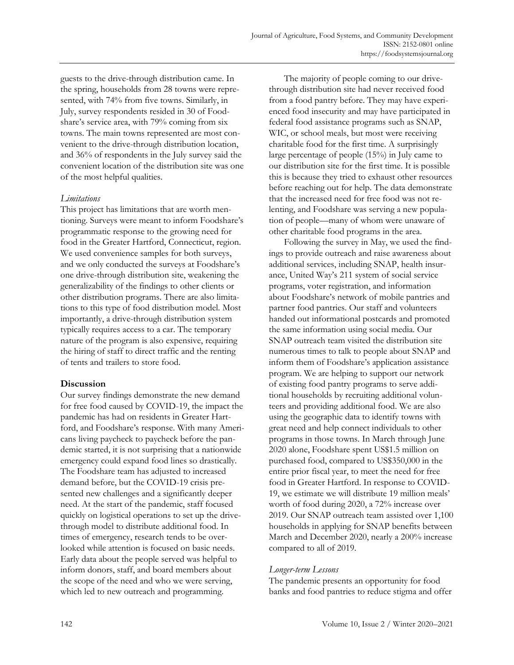guests to the drive-through distribution came. In the spring, households from 28 towns were represented, with 74% from five towns. Similarly, in July, survey respondents resided in 30 of Foodshare's service area, with 79% coming from six towns. The main towns represented are most convenient to the drive-through distribution location, and 36% of respondents in the July survey said the convenient location of the distribution site was one of the most helpful qualities.

#### *Limitations*

This project has limitations that are worth mentioning. Surveys were meant to inform Foodshare's programmatic response to the growing need for food in the Greater Hartford, Connecticut, region. We used convenience samples for both surveys, and we only conducted the surveys at Foodshare's one drive-through distribution site, weakening the generalizability of the findings to other clients or other distribution programs. There are also limitations to this type of food distribution model. Most importantly, a drive-through distribution system typically requires access to a car. The temporary nature of the program is also expensive, requiring the hiring of staff to direct traffic and the renting of tents and trailers to store food.

# **Discussion**

Our survey findings demonstrate the new demand for free food caused by COVID-19, the impact the pandemic has had on residents in Greater Hartford, and Foodshare's response. With many Americans living paycheck to paycheck before the pandemic started, it is not surprising that a nationwide emergency could expand food lines so drastically. The Foodshare team has adjusted to increased demand before, but the COVID-19 crisis presented new challenges and a significantly deeper need. At the start of the pandemic, staff focused quickly on logistical operations to set up the drivethrough model to distribute additional food. In times of emergency, research tends to be overlooked while attention is focused on basic needs. Early data about the people served was helpful to inform donors, staff, and board members about the scope of the need and who we were serving, which led to new outreach and programming.

The majority of people coming to our drivethrough distribution site had never received food from a food pantry before. They may have experienced food insecurity and may have participated in federal food assistance programs such as SNAP, WIC, or school meals, but most were receiving charitable food for the first time. A surprisingly large percentage of people (15%) in July came to our distribution site for the first time. It is possible this is because they tried to exhaust other resources before reaching out for help. The data demonstrate that the increased need for free food was not relenting, and Foodshare was serving a new population of people—many of whom were unaware of other charitable food programs in the area.

Following the survey in May, we used the findings to provide outreach and raise awareness about additional services, including SNAP, health insurance, United Way's 211 system of social service programs, voter registration, and information about Foodshare's network of mobile pantries and partner food pantries. Our staff and volunteers handed out informational postcards and promoted the same information using social media. Our SNAP outreach team visited the distribution site numerous times to talk to people about SNAP and inform them of Foodshare's application assistance program. We are helping to support our network of existing food pantry programs to serve additional households by recruiting additional volunteers and providing additional food. We are also using the geographic data to identify towns with great need and help connect individuals to other programs in those towns. In March through June 2020 alone, Foodshare spent US\$1.5 million on purchased food, compared to US\$350,000 in the entire prior fiscal year, to meet the need for free food in Greater Hartford. In response to COVID-19, we estimate we will distribute 19 million meals' worth of food during 2020, a 72% increase over 2019. Our SNAP outreach team assisted over 1,100 households in applying for SNAP benefits between March and December 2020, nearly a 200% increase compared to all of 2019.

# *Longer-term Lessons*

The pandemic presents an opportunity for food banks and food pantries to reduce stigma and offer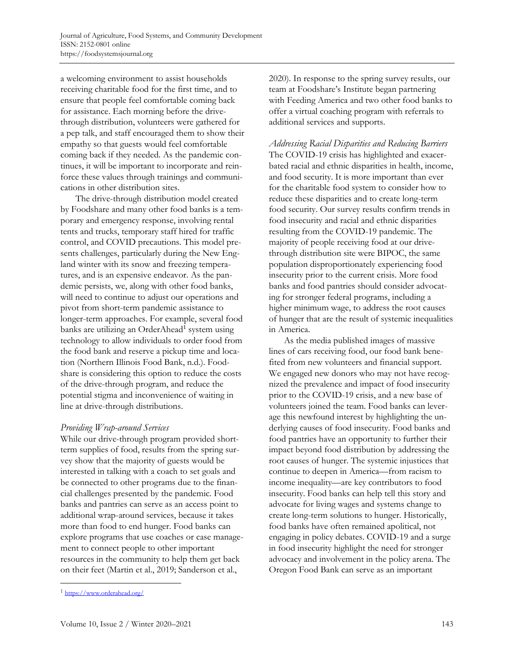a welcoming environment to assist households receiving charitable food for the first time, and to ensure that people feel comfortable coming back for assistance. Each morning before the drivethrough distribution, volunteers were gathered for a pep talk, and staff encouraged them to show their empathy so that guests would feel comfortable coming back if they needed. As the pandemic continues, it will be important to incorporate and reinforce these values through trainings and communications in other distribution sites.

The drive-through distribution model created by Foodshare and many other food banks is a temporary and emergency response, involving rental tents and trucks, temporary staff hired for traffic control, and COVID precautions. This model presents challenges, particularly during the New England winter with its snow and freezing temperatures, and is an expensive endeavor. As the pandemic persists, we, along with other food banks, will need to continue to adjust our operations and pivot from short-term pandemic assistance to longer-term approaches. For example, several food banks are utilizing an OrderAhead<sup>1</sup> system using technology to allow individuals to order food from the food bank and reserve a pickup time and location (Northern Illinois Food Bank, n.d.). Foodshare is considering this option to reduce the costs of the drive-through program, and reduce the potential stigma and inconvenience of waiting in line at drive-through distributions.

#### *Providing Wrap-around Services*

While our drive-through program provided shortterm supplies of food, results from the spring survey show that the majority of guests would be interested in talking with a coach to set goals and be connected to other programs due to the financial challenges presented by the pandemic. Food banks and pantries can serve as an access point to additional wrap-around services, because it takes more than food to end hunger. Food banks can explore programs that use coaches or case management to connect people to other important resources in the community to help them get back on their feet (Martin et al., 2019; Sanderson et al.,

2020). In response to the spring survey results, our team at Foodshare's Institute began partnering with Feeding America and two other food banks to offer a virtual coaching program with referrals to additional services and supports.

*Addressing Racial Disparities and Reducing Barriers* The COVID-19 crisis has highlighted and exacerbated racial and ethnic disparities in health, income, and food security. It is more important than ever for the charitable food system to consider how to reduce these disparities and to create long-term food security. Our survey results confirm trends in food insecurity and racial and ethnic disparities resulting from the COVID-19 pandemic. The majority of people receiving food at our drivethrough distribution site were BIPOC, the same population disproportionately experiencing food insecurity prior to the current crisis. More food banks and food pantries should consider advocating for stronger federal programs, including a higher minimum wage, to address the root causes of hunger that are the result of systemic inequalities in America.

As the media published images of massive lines of cars receiving food, our food bank benefited from new volunteers and financial support. We engaged new donors who may not have recognized the prevalence and impact of food insecurity prior to the COVID-19 crisis, and a new base of volunteers joined the team. Food banks can leverage this newfound interest by highlighting the underlying causes of food insecurity. Food banks and food pantries have an opportunity to further their impact beyond food distribution by addressing the root causes of hunger. The systemic injustices that continue to deepen in America—from racism to income inequality—are key contributors to food insecurity. Food banks can help tell this story and advocate for living wages and systems change to create long-term solutions to hunger. Historically, food banks have often remained apolitical, not engaging in policy debates. COVID-19 and a surge in food insecurity highlight the need for stronger advocacy and involvement in the policy arena. The Oregon Food Bank can serve as an important

<sup>1</sup> https://www.orderahead.org/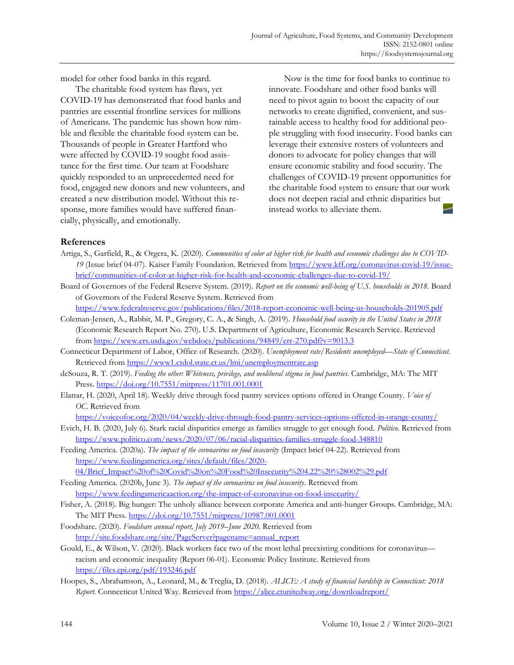model for other food banks in this regard.

The charitable food system has flaws, yet COVID-19 has demonstrated that food banks and pantries are essential frontline services for millions of Americans. The pandemic has shown how nimble and flexible the charitable food system can be. Thousands of people in Greater Hartford who were affected by COVID-19 sought food assistance for the first time. Our team at Foodshare quickly responded to an unprecedented need for food, engaged new donors and new volunteers, and created a new distribution model. Without this response, more families would have suffered financially, physically, and emotionally.

Now is the time for food banks to continue to innovate. Foodshare and other food banks will need to pivot again to boost the capacity of our networks to create dignified, convenient, and sustainable access to healthy food for additional people struggling with food insecurity. Food banks can leverage their extensive rosters of volunteers and donors to advocate for policy changes that will ensure economic stability and food security. The challenges of COVID-19 present opportunities for the charitable food system to ensure that our work does not deepen racial and ethnic disparities but instead works to alleviate them.

#### **References**

- Artiga, S., Garfield, R., & Orgera, K. (2020). *Communities of color at higher risk for health and economic challenges due to COVID-19* [\(Issue brief 04-07\). Kaiser Family Foundation. Retrieved from https://www.kff.org/coronavirus-covid-19/issue](https://www.kff.org/coronavirus-covid-19/issue-brief/communities-of-color-at-higher-risk-for-health-and-economic-challenges-due-to-covid-19/)brief/communities-of-color-at-higher-risk-for-health-and-economic-challenges-due-to-covid-19/
- Board of Governors of the Federal Reserve System. (2019). Report on the economic well-being of U.S. households in 2018. Board of Governors of the Federal Reserve System. Retrieved from
	- https://www.federalreserve.gov/publications/files/2018-report-economic-well-being-us-households-201905.pdf
- Coleman-Jensen, A., Rabbit, M. P., Gregory, C. A., & Singh, A. (2019). *Household food security in the United States in 2018* (Economic Research Report No. 270). U.S. Department of Agriculture, Economic Research Service. Retrieved from https://www.ers.usda.gov/webdocs/publications/94849/err-270.pdf?v=9013.3
- Connecticut Department of Labor, Office of Research. (2020). *Unemployment rate/Residents unemployed—State of Connecticut*. Retrieved from https://www1.ctdol.state.ct.us/lmi/unemploymentrate.asp
- deSouza, R. T. (2019). *Feeding the other: Whiteness, privilege, and neoliberal stigma in food pantries*. Cambridge, MA: The MIT Press. https://doi.org/10.7551/mitpress/11701.001.0001
- Elattar, H. (2020, April 18). Weekly drive through food pantry services options offered in Orange County. *Voice of OC*. Retrieved from
	- https://voiceofoc.org/2020/04/weekly-drive-through-food-pantry-services-options-offered-in-orange-county/
- Evich, H. B. (2020, July 6). Stark racial disparities emerge as families struggle to get enough food. *Politico*. Retrieved from https://www.politico.com/news/2020/07/06/racial-disparities-families-struggle-food-348810
- Feeding America. (2020a). *The impact of the coronavirus on food insecurity* (Impact brief 04-22). Retrieved from https://www.feedingamerica.org/sites/default/files/2020-
- [04/Brief\\_Impact%20of%20Covid%20on%20Food%20Insecurity%204.22%20%28002%29.pdf](https://www.feedingamerica.org/sites/default/files/2020-04/Brief_Impact%20of%20Covid%20on%20Food%20Insecurity%204.22%20%28002%29.pdf) Feeding America. (2020b, June 3). *The impact of the coronavirus on food insecurity*. Retrieved from
- https://www.feedingamericaaction.org/the-impact-of-coronavirus-on-food-insecurity/
- Fisher, A. (2018). Big hunger: The unholy alliance between corporate America and anti-hunger Groups. Cambridge, MA: The MIT Press. https://doi.org/10.7551/mitpress/10987.001.0001
- Foodshare. (2020). *Foodshare annual report, July 2019–June 2020.* Retrieved from http://site.foodshare.org/site/PageServer?pagename=annual\_report
- Gould, E., & Wilson, V. (2020). Black workers face two of the most lethal preexisting conditions for coronavirus racism and economic inequality (Report 06-01). Economic Policy Institute. Retrieved from https://files.epi.org/pdf/193246.pdf
- Hoopes, S., Abrahamson, A., Leonard, M., & Treglia, D. (2018). *ALICE: A study of financial hardship in Connecticut: 2018 Report*. Connecticut United Way. Retrieved from https://alice.ctunitedway.org/downloadreport/